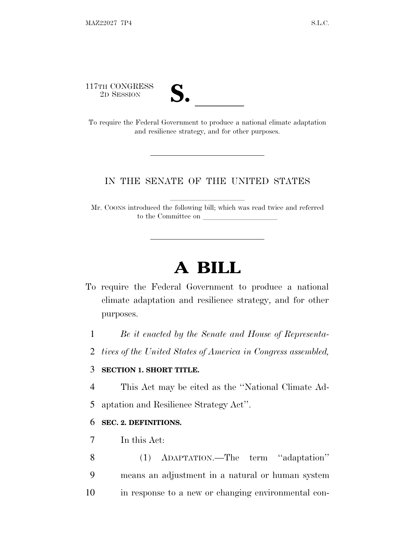117TH CONGRESS<br>2D SESSION

| T<br>T.                 |  |
|-------------------------|--|
|                         |  |
| $\overline{\mathsf{v}}$ |  |

To require the Federal Government to produce a national climate adaptation and resilience strategy, and for other purposes.

#### IN THE SENATE OF THE UNITED STATES

Mr. COONS introduced the following bill; which was read twice and referred to the Committee on

# **A BILL**

- To require the Federal Government to produce a national climate adaptation and resilience strategy, and for other purposes.
	- 1 *Be it enacted by the Senate and House of Representa-*
	- 2 *tives of the United States of America in Congress assembled,*

### 3 **SECTION 1. SHORT TITLE.**

- 4 This Act may be cited as the ''National Climate Ad-
- 5 aptation and Resilience Strategy Act''.

#### 6 **SEC. 2. DEFINITIONS.**

- 7 In this Act:
- 8 (1) ADAPTATION.—The term ''adaptation'' 9 means an adjustment in a natural or human system 10 in response to a new or changing environmental con-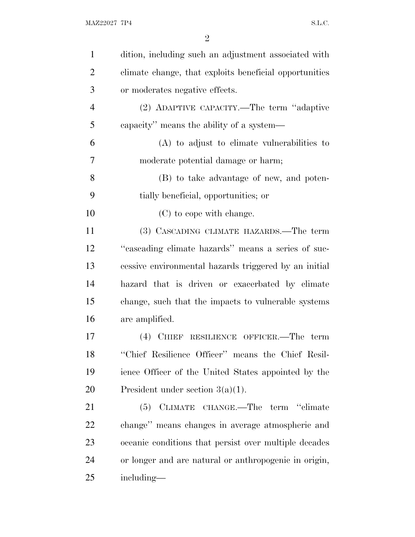| $\mathbf{1}$   | dition, including such an adjustment associated with   |
|----------------|--------------------------------------------------------|
| $\overline{2}$ | climate change, that exploits beneficial opportunities |
| 3              | or moderates negative effects.                         |
| $\overline{4}$ | (2) ADAPTIVE CAPACITY.—The term "adaptive              |
| 5              | capacity" means the ability of a system—               |
| 6              | (A) to adjust to elimate vulnerabilities to            |
| 7              | moderate potential damage or harm;                     |
| 8              | (B) to take advantage of new, and poten-               |
| 9              | tially beneficial, opportunities; or                   |
| 10             | (C) to cope with change.                               |
| 11             | (3) CASCADING CLIMATE HAZARDS.—The term                |
| 12             | "cascading climate hazards" means a series of suc-     |
| 13             | cessive environmental hazards triggered by an initial  |
| 14             | hazard that is driven or exacerbated by climate        |
| 15             | change, such that the impacts to vulnerable systems    |
| 16             | are amplified.                                         |
| 17             | (4) CHIEF RESILIENCE OFFICER.—The term                 |
| 18             | "Chief Resilience Officer" means the Chief Resil-      |
| 19             | ience Officer of the United States appointed by the    |
| 20             | President under section $3(a)(1)$ .                    |
| 21             | (5) CLIMATE CHANGE.—The term "climate                  |
| <u>22</u>      | change" means changes in average atmospheric and       |
| 23             | oceanic conditions that persist over multiple decades  |
| 24             | or longer and are natural or anthropogenic in origin,  |
| 25             | including—                                             |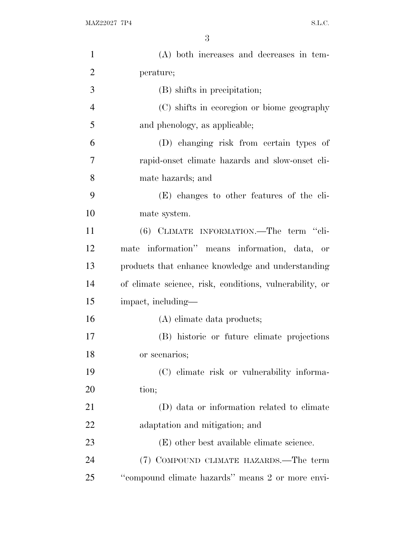| $\mathbf{1}$   | (A) both increases and decreases in tem-                |
|----------------|---------------------------------------------------------|
| $\overline{2}$ | perature;                                               |
| 3              | (B) shifts in precipitation;                            |
| $\overline{4}$ | (C) shifts in ecoregion or biome geography              |
| 5              | and phenology, as applicable;                           |
| 6              | (D) changing risk from certain types of                 |
| 7              | rapid-onset climate hazards and slow-onset cli-         |
| 8              | mate hazards; and                                       |
| 9              | (E) changes to other features of the cli-               |
| 10             | mate system.                                            |
| 11             | (6) CLIMATE INFORMATION.—The term "cli-                 |
| 12             | mate information" means information, data, or           |
| 13             | products that enhance knowledge and understanding       |
| 14             | of climate science, risk, conditions, vulnerability, or |
| 15             | impact, including—                                      |
| 16             | (A) elimate data products;                              |
| 17             | (B) historic or future climate projections              |
| 18             | or scenarios;                                           |
| 19             | (C) elimate risk or vulnerability informa-              |
| 20             | tion;                                                   |
| 21             | (D) data or information related to climate              |
| 22             | adaptation and mitigation; and                          |
| 23             | (E) other best available climate science.               |
| 24             | (7) COMPOUND CLIMATE HAZARDS.—The term                  |
| 25             | "compound climate hazards" means 2 or more envi-        |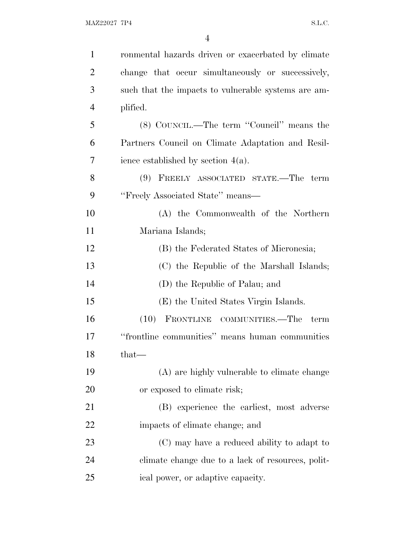| $\mathbf{1}$   | ronmental hazards driven or exacerbated by climate  |
|----------------|-----------------------------------------------------|
| $\overline{2}$ | change that occur simultaneously or successively,   |
| 3              | such that the impacts to vulnerable systems are am- |
| $\overline{4}$ | plified.                                            |
| 5              | (8) COUNCIL.—The term "Council" means the           |
| 6              | Partners Council on Climate Adaptation and Resil-   |
| 7              | ience established by section $4(a)$ .               |
| 8              | (9) FREELY ASSOCIATED STATE.—The term               |
| 9              | "Freely Associated State" means-                    |
| 10             | (A) the Commonwealth of the Northern                |
| 11             | Mariana Islands;                                    |
| 12             | (B) the Federated States of Micronesia;             |
| 13             | (C) the Republic of the Marshall Islands;           |
| 14             | (D) the Republic of Palau; and                      |
| 15             | (E) the United States Virgin Islands.               |
| 16             | (10) FRONTLINE COMMUNITIES.—The term                |
| 17             | "frontline communities" means human communities     |
| 18             | that-                                               |
| 19             | (A) are highly vulnerable to climate change         |
| 20             | or exposed to climate risk;                         |
| 21             | (B) experience the earliest, most adverse           |
| 22             | impacts of climate change; and                      |
| 23             | (C) may have a reduced ability to adapt to          |
| 24             | climate change due to a lack of resources, polit-   |
| 25             | ical power, or adaptive capacity.                   |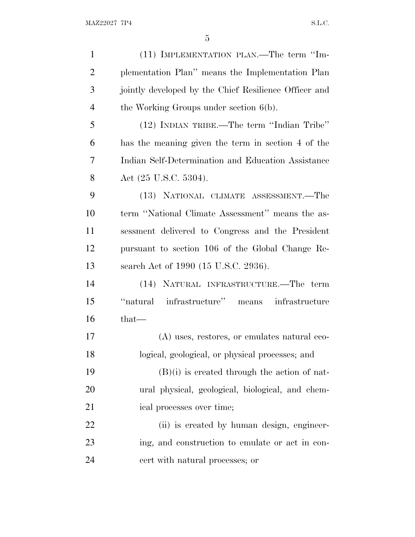| $\mathbf{1}$   | (11) IMPLEMENTATION PLAN.—The term "Im-               |
|----------------|-------------------------------------------------------|
| $\overline{2}$ | plementation Plan" means the Implementation Plan      |
| 3              | jointly developed by the Chief Resilience Officer and |
| $\overline{4}$ | the Working Groups under section $6(b)$ .             |
| 5              | (12) INDIAN TRIBE.—The term "Indian Tribe"            |
| 6              | has the meaning given the term in section 4 of the    |
| 7              | Indian Self-Determination and Education Assistance    |
| 8              | Act $(25 \text{ U.S.C. } 5304)$ .                     |
| 9              | (13) NATIONAL CLIMATE ASSESSMENT.—The                 |
| 10             | term "National Climate Assessment" means the as-      |
| 11             | sessment delivered to Congress and the President      |
| 12             | pursuant to section 106 of the Global Change Re-      |
| 13             | search Act of 1990 (15 U.S.C. 2936).                  |
| 14             | (14) NATURAL INFRASTRUCTURE.—The term                 |
| 15             | infrastructure" means infrastructure<br>"natural"     |
| 16             | $that-$                                               |
| 17             | (A) uses, restores, or emulates natural eco-          |
| 18             | logical, geological, or physical processes; and       |
| 19             | $(B)(i)$ is created through the action of nat-        |
| 20             | ural physical, geological, biological, and chem-      |
| 21             | ical processes over time;                             |
| 22             | (ii) is created by human design, engineer-            |
| 23             | ing, and construction to emulate or act in con-       |
| 24             | cert with natural processes; or                       |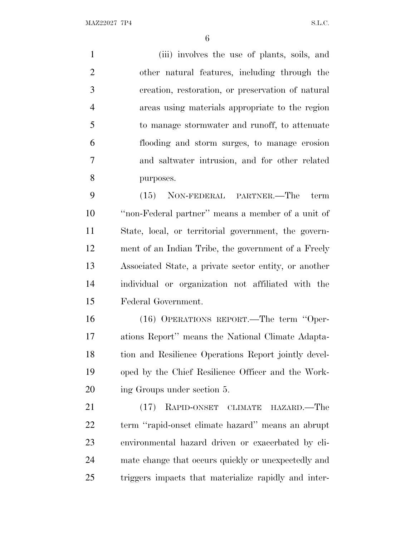MAZ22027 7P4 S.L.C.

 (iii) involves the use of plants, soils, and other natural features, including through the creation, restoration, or preservation of natural areas using materials appropriate to the region to manage stormwater and runoff, to attenuate flooding and storm surges, to manage erosion and saltwater intrusion, and for other related purposes. (15) NON-FEDERAL PARTNER.—The term ''non-Federal partner'' means a member of a unit of

 State, local, or territorial government, the govern- ment of an Indian Tribe, the government of a Freely Associated State, a private sector entity, or another individual or organization not affiliated with the Federal Government.

 (16) OPERATIONS REPORT.—The term ''Oper- ations Report'' means the National Climate Adapta- tion and Resilience Operations Report jointly devel- oped by the Chief Resilience Officer and the Work-ing Groups under section 5.

 (17) RAPID-ONSET CLIMATE HAZARD.—The term ''rapid-onset climate hazard'' means an abrupt environmental hazard driven or exacerbated by cli- mate change that occurs quickly or unexpectedly and triggers impacts that materialize rapidly and inter-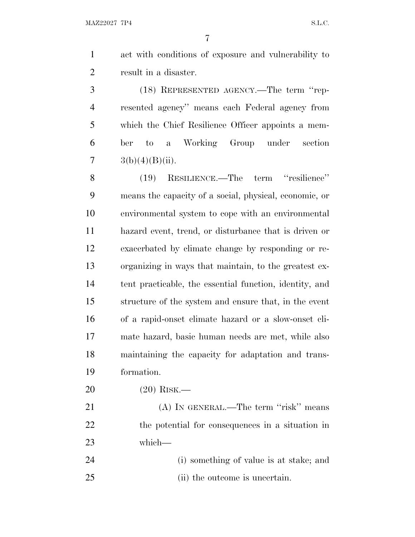act with conditions of exposure and vulnerability to result in a disaster.

 (18) REPRESENTED AGENCY.—The term ''rep- resented agency'' means each Federal agency from which the Chief Resilience Officer appoints a mem- ber to a Working Group under section  $3(b)(4)(B)(ii)$ .

 (19) RESILIENCE.—The term ''resilience'' means the capacity of a social, physical, economic, or environmental system to cope with an environmental hazard event, trend, or disturbance that is driven or exacerbated by climate change by responding or re- organizing in ways that maintain, to the greatest ex- tent practicable, the essential function, identity, and structure of the system and ensure that, in the event of a rapid-onset climate hazard or a slow-onset cli- mate hazard, basic human needs are met, while also maintaining the capacity for adaptation and trans-formation.

(20) RISK.—

21 (A) IN GENERAL.—The term "risk" means the potential for consequences in a situation in which—

 (i) something of value is at stake; and (ii) the outcome is uncertain.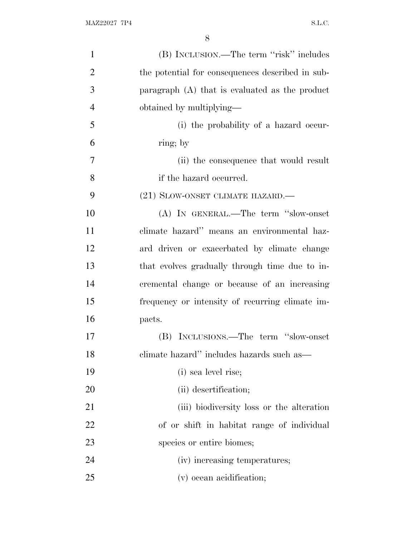| $\mathbf{1}$   | (B) INCLUSION.—The term "risk" includes          |
|----------------|--------------------------------------------------|
| $\overline{2}$ | the potential for consequences described in sub- |
| 3              | paragraph $(A)$ that is evaluated as the product |
| $\overline{4}$ | obtained by multiplying—                         |
| 5              | (i) the probability of a hazard occur-           |
| 6              | ring; by                                         |
| $\overline{7}$ | (ii) the consequence that would result           |
| 8              | if the hazard occurred.                          |
| 9              | (21) SLOW-ONSET CLIMATE HAZARD.—                 |
| 10             | (A) IN GENERAL.—The term "slow-onset             |
| 11             | climate hazard" means an environmental haz-      |
| 12             | ard driven or exacerbated by climate change      |
| 13             | that evolves gradually through time due to in-   |
| 14             | cremental change or because of an increasing     |
| 15             | frequency or intensity of recurring climate im-  |
| 16             | pacts.                                           |
| 17             | (B) INCLUSIONS.—The term "slow-onset             |
| 18             | climate hazard" includes hazards such as—        |
| 19             | (i) sea level rise;                              |
| 20             | (ii) desertification;                            |
| 21             | (iii) biodiversity loss or the alteration        |
| 22             | of or shift in habitat range of individual       |
| 23             | species or entire biomes;                        |
| 24             | (iv) increasing temperatures;                    |
| 25             | (v) ocean acidification;                         |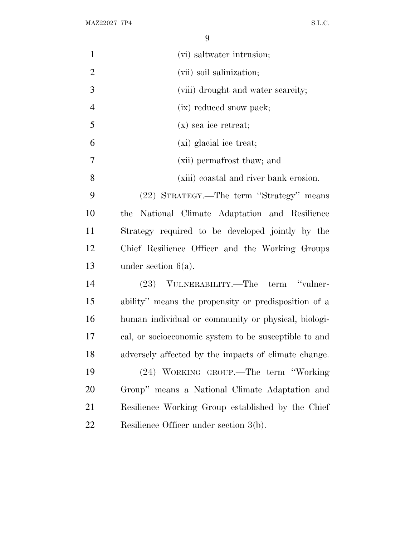MAZ22027 7P4 S.L.C.

| $\mathbf{1}$   | (vi) saltwater intrusion;                             |
|----------------|-------------------------------------------------------|
| $\overline{2}$ | (vii) soil salinization;                              |
| 3              | (viii) drought and water scarcity;                    |
| $\overline{4}$ | (ix) reduced snow pack;                               |
| 5              | $(x)$ sea ice retreat;                                |
| 6              | (xi) glacial ice treat;                               |
| 7              | (xii) permafrost thaw; and                            |
| 8              | (xiii) coastal and river bank erosion.                |
| 9              | (22) STRATEGY.—The term "Strategy" means              |
| 10             | National Climate Adaptation and Resilience<br>the     |
| <sup>11</sup>  | Strategy required to be developed jointly by the      |
| 12             | Chief Resilience Officer and the Working Groups       |
| 13             | under section $6(a)$ .                                |
| 14             | (23) VULNERABILITY.—The term "vulner-                 |
| 15             | ability" means the propensity or predisposition of a  |
| 16             | human individual or community or physical, biologi-   |
| 17             | cal, or socioeconomic system to be susceptible to and |
| 18             | adversely affected by the impacts of climate change.  |
| 19             | (24) WORKING GROUP.—The term "Working                 |
| 20             | Group" means a National Climate Adaptation and        |
| 21             | Resilience Working Group established by the Chief     |
| 22             | Resilience Officer under section 3(b).                |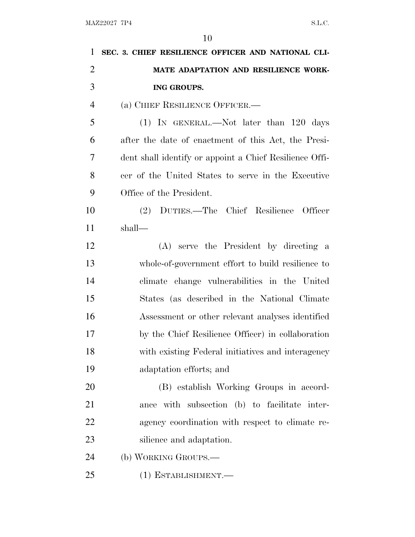| 1              | SEC. 3. CHIEF RESILIENCE OFFICER AND NATIONAL CLI-      |
|----------------|---------------------------------------------------------|
| $\overline{2}$ | MATE ADAPTATION AND RESILIENCE WORK-                    |
| 3              | ING GROUPS.                                             |
| $\overline{4}$ | (a) CHIEF RESILIENCE OFFICER.—                          |
| 5              | $(1)$ IN GENERAL.—Not later than 120 days               |
| 6              | after the date of enactment of this Act, the Presi-     |
| 7              | dent shall identify or appoint a Chief Resilience Offi- |
| 8              | cer of the United States to serve in the Executive      |
| 9              | Office of the President.                                |
| 10             | DUTIES.-The Chief Resilience Officer<br>(2)             |
| 11             | shall—                                                  |
| 12             | (A) serve the President by directing a                  |
| 13             | whole-of-government effort to build resilience to       |
| 14             | climate change vulnerabilities in the United            |
| 15             | States (as described in the National Climate            |
| 16             | Assessment or other relevant analyses identified        |
| 17             | by the Chief Resilience Officer) in collaboration       |
| 18             | with existing Federal initiatives and interagency       |
| 19             | adaptation efforts; and                                 |
| 20             | (B) establish Working Groups in accord-                 |
| 21             | ance with subsection (b) to facilitate inter-           |
| 22             | agency coordination with respect to climate re-         |
| 23             | silience and adaptation.                                |
| 24             | (b) WORKING GROUPS.—                                    |
| 25             | (1) ESTABLISHMENT.-                                     |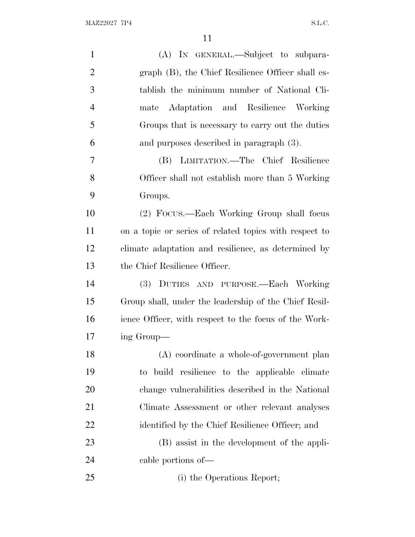| $\mathbf{1}$   | (A) IN GENERAL.—Subject to subpara-                    |
|----------------|--------------------------------------------------------|
| $\overline{2}$ | graph (B), the Chief Resilience Officer shall es-      |
| 3              | tablish the minimum number of National Cli-            |
| $\overline{4}$ | Adaptation and Resilience Working<br>mate              |
| 5              | Groups that is necessary to carry out the duties       |
| 6              | and purposes described in paragraph (3).               |
| 7              | LIMITATION.—The Chief Resilience<br>(B)                |
| 8              | Officer shall not establish more than 5 Working        |
| 9              | Groups.                                                |
| 10             | (2) Focus.—Each Working Group shall focus              |
| 11             | on a topic or series of related topics with respect to |
| 12             | climate adaptation and resilience, as determined by    |
| 13             | the Chief Resilience Officer.                          |
| 14             | DUTIES AND PURPOSE.—Each Working<br>(3)                |
| 15             | Group shall, under the leadership of the Chief Resil-  |
| 16             | ience Officer, with respect to the focus of the Work-  |
| 17             | ing Group—                                             |
| 18             | (A) coordinate a whole-of-government plan              |
| 19             | to build resilience to the applicable climate          |
| 20             | change vulnerabilities described in the National       |
| 21             | Climate Assessment or other relevant analyses          |
| 22             | identified by the Chief Resilience Officer; and        |
| 23             | (B) assist in the development of the appli-            |
| 24             | cable portions of—                                     |
| 25             | (i) the Operations Report;                             |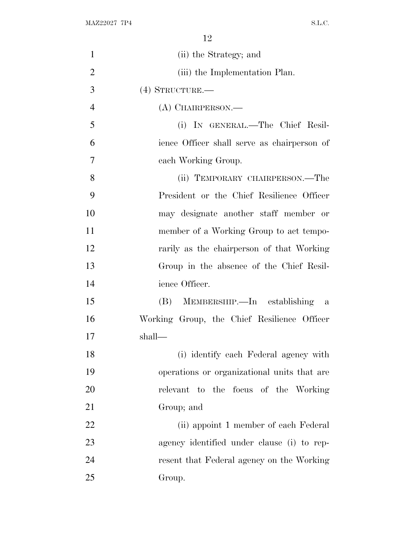MAZ22027 7P4 S.L.C.

| $\mathbf{1}$   | (ii) the Strategy; and                      |
|----------------|---------------------------------------------|
| $\overline{2}$ | (iii) the Implementation Plan.              |
| 3              | $(4)$ STRUCTURE.—                           |
| $\overline{4}$ | (A) CHAIRPERSON.—                           |
| 5              | (i) IN GENERAL.—The Chief Resil-            |
| 6              | ience Officer shall serve as chairperson of |
| 7              | each Working Group.                         |
| 8              | (ii) TEMPORARY CHAIRPERSON.—The             |
| 9              | President or the Chief Resilience Officer   |
| 10             | may designate another staff member or       |
| 11             | member of a Working Group to act tempo-     |
| 12             | rarily as the chairperson of that Working   |
| 13             | Group in the absence of the Chief Resil-    |
| 14             | ience Officer.                              |
| 15             | (B) MEMBERSHIP.—In establishing a           |
| 16             | Working Group, the Chief Resilience Officer |
| 17             | shall—                                      |
| 18             | (i) identify each Federal agency with       |
| 19             | operations or organizational units that are |
| 20             | relevant to the focus of the Working        |
| 21             | Group; and                                  |
| 22             | (ii) appoint 1 member of each Federal       |
| 23             | agency identified under clause (i) to rep-  |
| 24             | resent that Federal agency on the Working   |
| 25             | Group.                                      |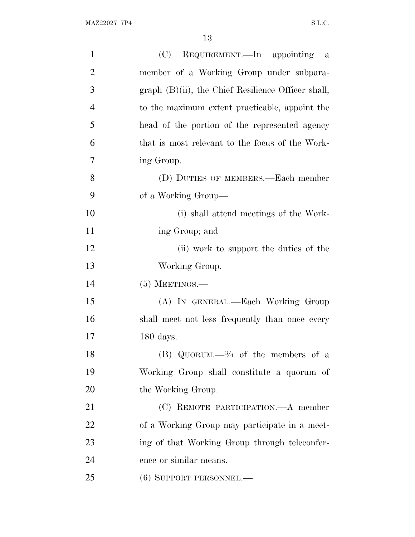| $\mathbf{1}$   | (C) REQUIREMENT.—In appointing a                      |
|----------------|-------------------------------------------------------|
| $\overline{2}$ | member of a Working Group under subpara-              |
| 3              | $graph (B)(ii)$ , the Chief Resilience Officer shall, |
| $\overline{4}$ | to the maximum extent practicable, appoint the        |
| 5              | head of the portion of the represented agency         |
| 6              | that is most relevant to the focus of the Work-       |
| 7              | ing Group.                                            |
| 8              | (D) DUTIES OF MEMBERS.—Each member                    |
| 9              | of a Working Group—                                   |
| 10             | (i) shall attend meetings of the Work-                |
| 11             | ing Group; and                                        |
| 12             | (ii) work to support the duties of the                |
| 13             | Working Group.                                        |
| 14             | $(5)$ MEETINGS.—                                      |
| 15             | (A) IN GENERAL.—Each Working Group                    |
| 16             | shall meet not less frequently than once every        |
| 17             | $180$ days.                                           |
| 18             | (B) QUORUM. $-3/4$ of the members of a                |
| 19             | Working Group shall constitute a quorum of            |
| 20             | the Working Group.                                    |
| 21             | (C) REMOTE PARTICIPATION.—A member                    |
| 22             | of a Working Group may participate in a meet-         |
| 23             | ing of that Working Group through teleconfer-         |
| 24             | ence or similar means.                                |
| 25             | $(6)$ SUPPORT PERSONNEL.—                             |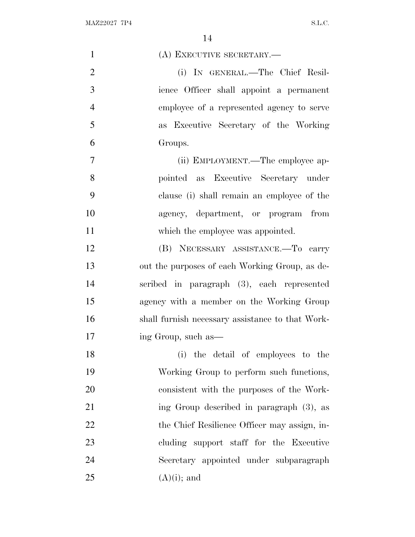| $\mathbf{1}$   | (A) EXECUTIVE SECRETARY.-                        |
|----------------|--------------------------------------------------|
| $\overline{2}$ | (i) IN GENERAL.—The Chief Resil-                 |
| 3              | ience Officer shall appoint a permanent          |
| $\overline{4}$ | employee of a represented agency to serve        |
| 5              | as Executive Secretary of the Working            |
| 6              | Groups.                                          |
| $\overline{7}$ | (ii) EMPLOYMENT.—The employee ap-                |
| 8              | pointed as Executive Secretary under             |
| 9              | clause (i) shall remain an employee of the       |
| 10             | agency, department, or program from              |
| 11             | which the employee was appointed.                |
| 12             | (B) NECESSARY ASSISTANCE.—To carry               |
| 13             | out the purposes of each Working Group, as de-   |
| 14             | scribed in paragraph (3), each represented       |
| 15             | agency with a member on the Working Group        |
| 16             | shall furnish necessary assistance to that Work- |
| 17             | ing Group, such as—                              |
| 18             | (i) the detail of employees to the               |
| 19             | Working Group to perform such functions,         |
| 20             | consistent with the purposes of the Work-        |
| 21             | ing Group described in paragraph (3), as         |
| 22             | the Chief Resilience Officer may assign, in-     |
| 23             | cluding support staff for the Executive          |
| 24             | Secretary appointed under subparagraph           |
| 25             | $(A)(i)$ ; and                                   |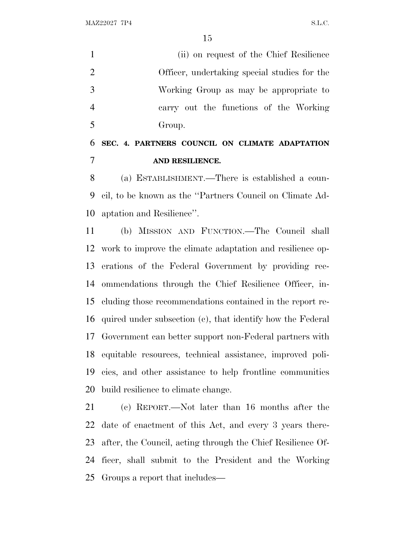MAZ22027 7P4 S.L.C.

 (ii) on request of the Chief Resilience Officer, undertaking special studies for the Working Group as may be appropriate to carry out the functions of the Working Group.

## **SEC. 4. PARTNERS COUNCIL ON CLIMATE ADAPTATION AND RESILIENCE.**

 (a) ESTABLISHMENT.—There is established a coun- cil, to be known as the ''Partners Council on Climate Ad-aptation and Resilience''.

 (b) MISSION AND FUNCTION.—The Council shall work to improve the climate adaptation and resilience op- erations of the Federal Government by providing rec- ommendations through the Chief Resilience Officer, in- cluding those recommendations contained in the report re- quired under subsection (c), that identify how the Federal Government can better support non-Federal partners with equitable resources, technical assistance, improved poli- cies, and other assistance to help frontline communities build resilience to climate change.

 (c) REPORT.—Not later than 16 months after the date of enactment of this Act, and every 3 years there- after, the Council, acting through the Chief Resilience Of- ficer, shall submit to the President and the Working Groups a report that includes—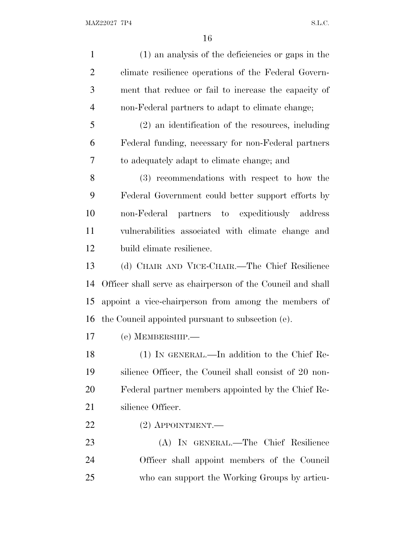| $\mathbf{1}$   | (1) an analysis of the deficiencies or gaps in the          |
|----------------|-------------------------------------------------------------|
| $\overline{2}$ | climate resilience operations of the Federal Govern-        |
| 3              | ment that reduce or fail to increase the capacity of        |
| $\overline{4}$ | non-Federal partners to adapt to climate change;            |
| 5              | $(2)$ an identification of the resources, including         |
| 6              | Federal funding, necessary for non-Federal partners         |
| 7              | to adequately adapt to climate change; and                  |
| 8              | (3) recommendations with respect to how the                 |
| 9              | Federal Government could better support efforts by          |
| 10             | non-Federal partners to expeditiously address               |
| 11             | vulnerabilities associated with climate change and          |
| 12             | build climate resilience.                                   |
| 13             | (d) CHAIR AND VICE-CHAIR.—The Chief Resilience              |
| 14             | Officer shall serve as chairperson of the Council and shall |
| 15             | appoint a vice-chairperson from among the members of        |
| 16             | the Council appointed pursuant to subsection (e).           |
| 17             | $(e)$ MEMBERSHIP.—                                          |
| 18             | (1) IN GENERAL.—In addition to the Chief Re-                |
| 19             | silience Officer, the Council shall consist of 20 non-      |
| 20             | Federal partner members appointed by the Chief Re-          |
| 21             | silience Officer.                                           |
| 22             | $(2)$ APPOINTMENT.—                                         |
| 23             | (A) IN GENERAL.—The Chief Resilience                        |
| 24             | Officer shall appoint members of the Council                |
| 25             | who can support the Working Groups by articu-               |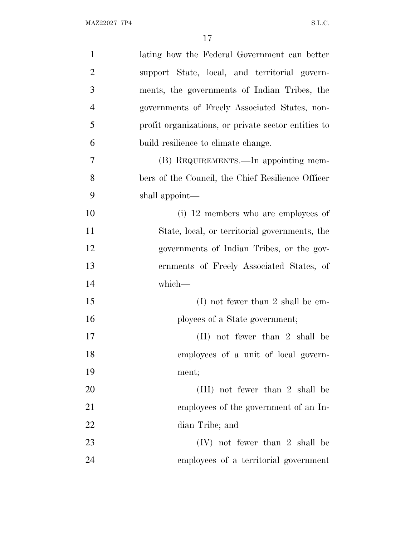| $\mathbf{1}$   | lating how the Federal Government can better        |
|----------------|-----------------------------------------------------|
| $\overline{2}$ | support State, local, and territorial govern-       |
| 3              | ments, the governments of Indian Tribes, the        |
| $\overline{4}$ | governments of Freely Associated States, non-       |
| 5              | profit organizations, or private sector entities to |
| 6              | build resilience to climate change.                 |
| 7              | (B) REQUIREMENTS.—In appointing mem-                |
| 8              | bers of the Council, the Chief Resilience Officer   |
| 9              | shall appoint—                                      |
| 10             | (i) 12 members who are employees of                 |
| 11             | State, local, or territorial governments, the       |
| 12             | governments of Indian Tribes, or the gov-           |
| 13             | ernments of Freely Associated States, of            |
| 14             | which-                                              |
| 15             | $(I)$ not fewer than 2 shall be em-                 |
| 16             | ployees of a State government;                      |
| 17             | $(II)$ not fewer than 2 shall be                    |
| 18             | employees of a unit of local govern-                |
| 19             | ment;                                               |
| 20             | (III) not fewer than 2 shall be                     |
| 21             | employees of the government of an In-               |
| 22             | dian Tribe; and                                     |
| 23             | $(IV)$ not fewer than 2 shall be                    |
| 24             | employees of a territorial government               |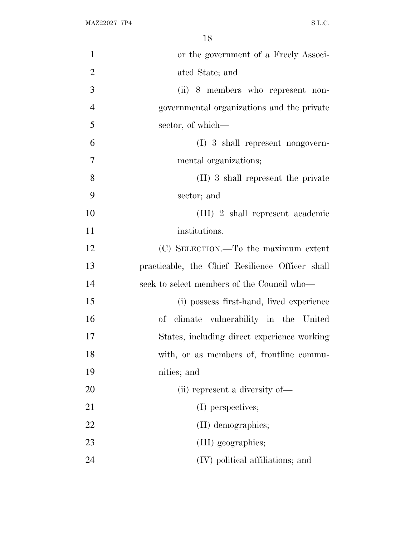| $\mathbf{1}$   | or the government of a Freely Associ-           |
|----------------|-------------------------------------------------|
| $\overline{2}$ | ated State; and                                 |
| 3              | (ii) 8 members who represent non-               |
| $\overline{4}$ | governmental organizations and the private      |
| 5              | sector, of which—                               |
| 6              | $(I)$ 3 shall represent nongovern-              |
| $\overline{7}$ | mental organizations;                           |
| 8              | (II) 3 shall represent the private              |
| 9              | sector; and                                     |
| 10             | (III) 2 shall represent academic                |
| 11             | institutions.                                   |
| 12             | (C) SELECTION.—To the maximum extent            |
| 13             | practicable, the Chief Resilience Officer shall |
| 14             | seek to select members of the Council who—      |
| 15             | (i) possess first-hand, lived experience        |
| 16             | of climate vulnerability in the United          |
| 17             | States, including direct experience working     |
| 18             | with, or as members of, frontline commu-        |
| 19             | nities; and                                     |
| 20             | (ii) represent a diversity of—                  |
| 21             | (I) perspectives;                               |
| 22             | (II) demographics;                              |
| 23             | (III) geographies;                              |
| 24             | (IV) political affiliations; and                |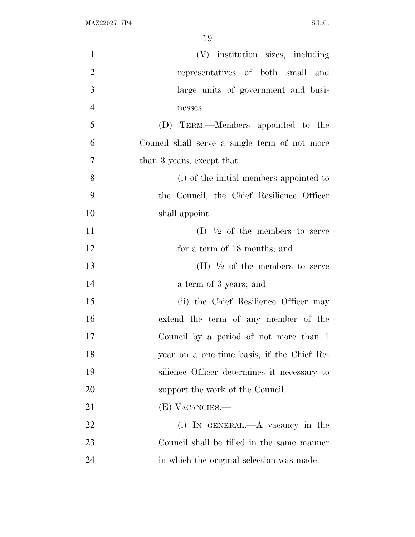| $\mathbf{1}$   | (V) institution sizes, including                           |
|----------------|------------------------------------------------------------|
| $\overline{2}$ | representatives of both small and                          |
| 3              | large units of government and busi-                        |
| $\overline{4}$ | nesses.                                                    |
| 5              | (D) TERM.—Members appointed to the                         |
| 6              | Council shall serve a single term of not more              |
| $\tau$         | than 3 years, except that—                                 |
| 8              | (i) of the initial members appointed to                    |
| 9              | the Council, the Chief Resilience Officer                  |
| 10             | shall appoint—                                             |
| 11             | $(I)$ <sup>1</sup> / <sub>2</sub> of the members to serve  |
| 12             | for a term of 18 months; and                               |
| 13             | $(II)$ <sup>1</sup> / <sub>2</sub> of the members to serve |
| 14             | a term of 3 years; and                                     |
| 15             | (ii) the Chief Resilience Officer may                      |
| 16             | extend the term of any member of the                       |
| 17             | Council by a period of not more than 1                     |
| 18             | year on a one-time basis, if the Chief Re-                 |
| 19             | silience Officer determines it necessary to                |
| 20             | support the work of the Council.                           |
| 21             | (E) VACANCIES.—                                            |
| 22             | (i) IN GENERAL.—A vacancy in the                           |
| 23             | Council shall be filled in the same manner                 |
| 24             | in which the original selection was made.                  |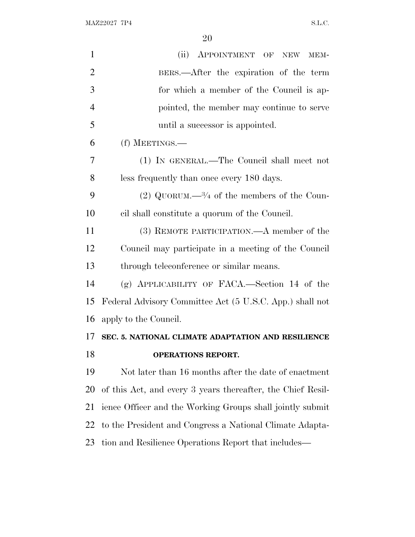MAZ22027 7P4 S.L.C.

| $\mathbf{1}$   | (ii) APPOINTMENT OF NEW MEM-                                |
|----------------|-------------------------------------------------------------|
| $\overline{2}$ | BERS.—After the expiration of the term                      |
| 3              | for which a member of the Council is ap-                    |
| $\overline{4}$ | pointed, the member may continue to serve                   |
| 5              | until a successor is appointed.                             |
| 6              | (f) MEETINGS.—                                              |
| 7              | (1) IN GENERAL.—The Council shall meet not                  |
| 8              | less frequently than once every 180 days.                   |
| 9              | (2) QUORUM.— $\frac{3}{4}$ of the members of the Coun-      |
| 10             | cil shall constitute a quorum of the Council.               |
| 11             | (3) REMOTE PARTICIPATION.—A member of the                   |
| 12             | Council may participate in a meeting of the Council         |
| 13             | through teleconference or similar means.                    |
| 14             | $(g)$ APPLICABILITY OF FACA.—Section 14 of the              |
| 15             | Federal Advisory Committee Act (5 U.S.C. App.) shall not    |
| 16             | apply to the Council.                                       |
| 17             | SEC. 5. NATIONAL CLIMATE ADAPTATION AND RESILIENCE          |
| 18             | <b>OPERATIONS REPORT.</b>                                   |
| 19             | Not later than 16 months after the date of enactment        |
| 20             | of this Act, and every 3 years thereafter, the Chief Resil- |
| 21             | ience Officer and the Working Groups shall jointly submit   |
| 22             | to the President and Congress a National Climate Adapta-    |
| 23             | tion and Resilience Operations Report that includes—        |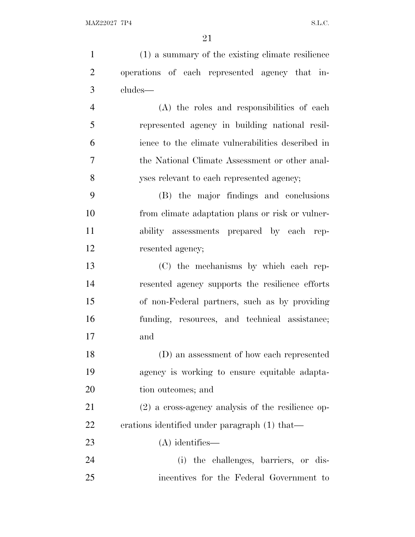| $\mathbf{1}$   | (1) a summary of the existing climate resilience    |
|----------------|-----------------------------------------------------|
| $\overline{2}$ | operations of each represented agency that in-      |
| 3              | cludes—                                             |
| $\overline{4}$ | (A) the roles and responsibilities of each          |
| 5              | represented agency in building national resil-      |
| 6              | ience to the climate vulnerabilities described in   |
| 7              | the National Climate Assessment or other anal-      |
| 8              | yses relevant to each represented agency;           |
| 9              | (B) the major findings and conclusions              |
| 10             | from climate adaptation plans or risk or vulner-    |
| 11             | ability assessments prepared by each rep-           |
| 12             | resented agency;                                    |
| 13             | (C) the mechanisms by which each rep-               |
| 14             | resented agency supports the resilience efforts     |
| 15             | of non-Federal partners, such as by providing       |
| 16             | funding, resources, and technical assistance;       |
| 17             | and                                                 |
| 18             | (D) an assessment of how each represented           |
| 19             | agency is working to ensure equitable adapta-       |
| 20             | tion outcomes; and                                  |
| 21             | $(2)$ a cross-agency analysis of the resilience op- |
| 22             | erations identified under paragraph (1) that—       |
| 23             | $(A)$ identifies—                                   |
| 24             | (i) the challenges, barriers, or dis-               |
| 25             | incentives for the Federal Government to            |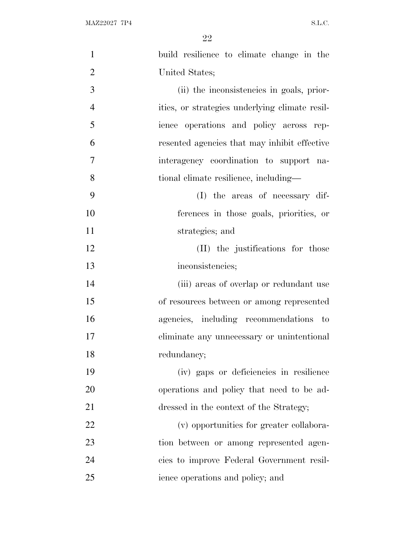| $\mathbf{1}$   | build resilience to climate change in the      |
|----------------|------------------------------------------------|
| $\overline{2}$ | United States;                                 |
| 3              | (ii) the inconsistencies in goals, prior-      |
| $\overline{4}$ | ities, or strategies underlying climate resil- |
| 5              | ience operations and policy across rep-        |
| 6              | resented agencies that may inhibit effective   |
| $\overline{7}$ | interagency coordination to support na-        |
| 8              | tional climate resilience, including—          |
| 9              | (I) the areas of necessary dif-                |
| 10             | ferences in those goals, priorities, or        |
| 11             | strategies; and                                |
| 12             | (II) the justifications for those              |
| 13             | inconsistencies;                               |
| 14             | (iii) areas of overlap or redundant use        |
| 15             | of resources between or among represented      |
| 16             | agencies, including recommendations to         |
| 17             | eliminate any unnecessary or unintentional     |
| 18             | redundancy;                                    |
| 19             | (iv) gaps or deficiencies in resilience        |
| 20             | operations and policy that need to be ad-      |
| 21             | dressed in the context of the Strategy;        |
| 22             | (v) opportunities for greater collabora-       |
| 23             | tion between or among represented agen-        |
| 24             | cies to improve Federal Government resil-      |
| 25             | ience operations and policy; and               |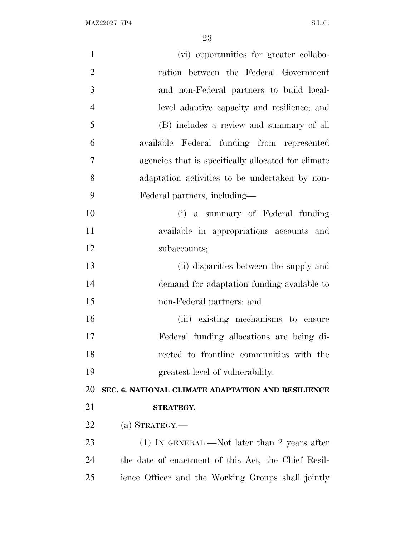| $\mathbf{1}$   | (vi) opportunities for greater collabo-             |
|----------------|-----------------------------------------------------|
| $\overline{2}$ | ration between the Federal Government               |
| 3              | and non-Federal partners to build local-            |
| $\overline{4}$ | level adaptive capacity and resilience; and         |
| 5              | (B) includes a review and summary of all            |
| 6              | available Federal funding from represented          |
| 7              | agencies that is specifically allocated for climate |
| 8              | adaptation activities to be undertaken by non-      |
| 9              | Federal partners, including—                        |
| 10             | (i) a summary of Federal funding                    |
| 11             | available in appropriations accounts and            |
| 12             | subaccounts;                                        |
| 13             | (ii) disparities between the supply and             |
| 14             | demand for adaptation funding available to          |
| 15             | non-Federal partners; and                           |
| 16             | (iii) existing mechanisms to ensure                 |
| 17             | Federal funding allocations are being di-           |
| 18             | rected to frontline communities with the            |
| 19             | greatest level of vulnerability.                    |
| 20             | SEC. 6. NATIONAL CLIMATE ADAPTATION AND RESILIENCE  |
| 21             | STRATEGY.                                           |
| 22             | (a) STRATEGY.—                                      |
| 23             | (1) IN GENERAL.—Not later than 2 years after        |
| 24             | the date of enactment of this Act, the Chief Resil- |
| 25             | ience Officer and the Working Groups shall jointly  |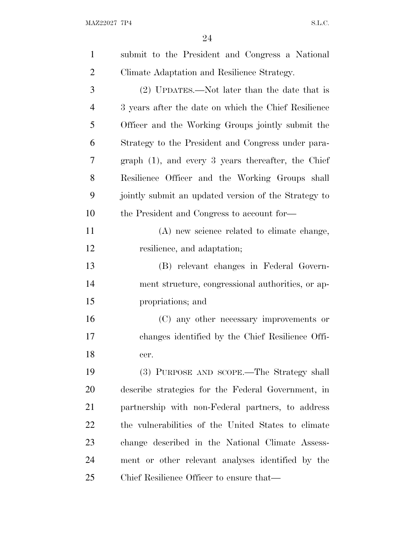| $\mathbf{1}$   | submit to the President and Congress a National       |
|----------------|-------------------------------------------------------|
| $\overline{2}$ | Climate Adaptation and Resilience Strategy.           |
| 3              | $(2)$ UPDATES.—Not later than the date that is        |
| $\overline{4}$ | 3 years after the date on which the Chief Resilience  |
| 5              | Officer and the Working Groups jointly submit the     |
| 6              | Strategy to the President and Congress under para-    |
| 7              | graph $(1)$ , and every 3 years thereafter, the Chief |
| 8              | Resilience Officer and the Working Groups shall       |
| 9              | jointly submit an updated version of the Strategy to  |
| 10             | the President and Congress to account for—            |
| 11             | (A) new science related to climate change,            |
| 12             | resilience, and adaptation;                           |
| 13             | (B) relevant changes in Federal Govern-               |
| 14             | ment structure, congressional authorities, or ap-     |
| 15             | propriations; and                                     |
| 16             | (C) any other necessary improvements or               |
| 17             | changes identified by the Chief Resilience Offi-      |
| 18             | cer.                                                  |
| 19             | (3) PURPOSE AND SCOPE.—The Strategy shall             |
| 20             | describe strategies for the Federal Government, in    |
| 21             | partnership with non-Federal partners, to address     |
| 22             | the vulnerabilities of the United States to climate   |
| 23             | change described in the National Climate Assess-      |
| 24             | ment or other relevant analyses identified by the     |
| 25             | Chief Resilience Officer to ensure that—              |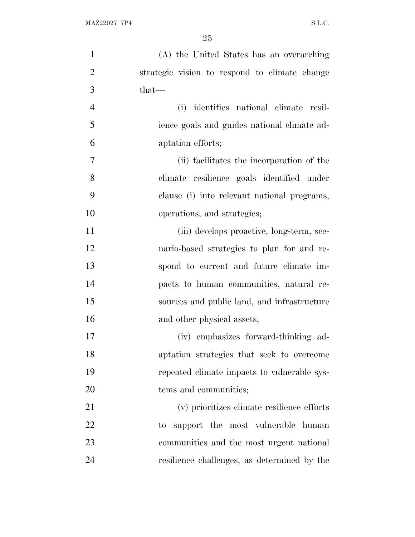| $\mathbf{1}$   | (A) the United States has an overarching      |
|----------------|-----------------------------------------------|
| $\overline{2}$ | strategic vision to respond to climate change |
| 3              | $that-$                                       |
| $\overline{4}$ | (i) identifies national climate resil-        |
| 5              | ience goals and guides national climate ad-   |
| 6              | aptation efforts;                             |
| 7              | (ii) facilitates the incorporation of the     |
| 8              | climate resilience goals identified under     |
| 9              | clause (i) into relevant national programs,   |
| 10             | operations, and strategies;                   |
| 11             | (iii) develops proactive, long-term, sce-     |
| 12             | nario-based strategies to plan for and re-    |
| 13             | spond to current and future climate im-       |
| 14             | pacts to human communities, natural re-       |
| 15             | sources and public land, and infrastructure   |
| 16             | and other physical assets;                    |
| 17             | (iv) emphasizes forward-thinking ad-          |
| 18             | aptation strategies that seek to overcome     |
| 19             | repeated climate impacts to vulnerable sys-   |
| 20             | tems and communities;                         |
| 21             | (v) prioritizes climate resilience efforts    |
| 22             | support the most vulnerable human<br>to       |
| 23             | communities and the most urgent national      |
| 24             | resilience challenges, as determined by the   |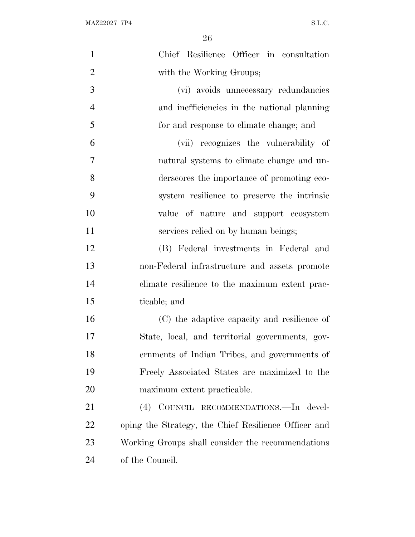| $\mathbf{1}$   | Chief Resilience Officer in consultation             |
|----------------|------------------------------------------------------|
| $\overline{2}$ | with the Working Groups;                             |
| 3              | (vi) avoids unnecessary redundancies                 |
| $\overline{4}$ | and inefficiencies in the national planning          |
| 5              | for and response to climate change; and              |
| 6              | (vii) recognizes the vulnerability of                |
| 7              | natural systems to climate change and un-            |
| 8              | derscores the importance of promoting eco-           |
| 9              | system resilience to preserve the intrinsic          |
| 10             | value of nature and support ecosystem                |
| 11             | services relied on by human beings;                  |
| 12             | (B) Federal investments in Federal and               |
| 13             | non-Federal infrastructure and assets promote        |
| 14             | climate resilience to the maximum extent prac-       |
| 15             | ticable; and                                         |
| 16             | (C) the adaptive capacity and resilience of          |
| 17             | State, local, and territorial governments, gov-      |
| 18             | ernments of Indian Tribes, and governments of        |
| 19             | Freely Associated States are maximized to the        |
| 20             | maximum extent practicable.                          |
| 21             | (4) COUNCIL RECOMMENDATIONS. - In devel-             |
| <u>22</u>      | oping the Strategy, the Chief Resilience Officer and |
| 23             | Working Groups shall consider the recommendations    |
| 24             | of the Council.                                      |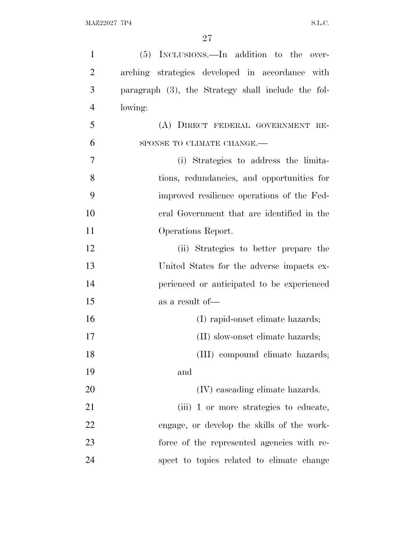| $\mathbf{1}$   | (5) INCLUSIONS.—In addition to the over-           |
|----------------|----------------------------------------------------|
| $\overline{2}$ | arching strategies developed in accordance with    |
| 3              | paragraph (3), the Strategy shall include the fol- |
| $\overline{4}$ | lowing:                                            |
| 5              | (A) DIRECT FEDERAL GOVERNMENT RE-                  |
| 6              | SPONSE TO CLIMATE CHANGE.-                         |
| $\overline{7}$ | (i) Strategies to address the limita-              |
| 8              | tions, redundancies, and opportunities for         |
| 9              | improved resilience operations of the Fed-         |
| 10             | eral Government that are identified in the         |
| 11             | Operations Report.                                 |
| 12             | (ii) Strategies to better prepare the              |
| 13             | United States for the adverse impacts ex-          |
| 14             | perienced or anticipated to be experienced         |
| 15             | as a result of-                                    |
| 16             | (I) rapid-onset climate hazards;                   |
| 17             | (II) slow-onset climate hazards;                   |
| 18             | (III) compound climate hazards;                    |
| 19             | and                                                |
| 20             | (IV) cascading climate hazards.                    |
| 21             | (iii) 1 or more strategies to educate,             |
| 22             | engage, or develop the skills of the work-         |
| 23             | force of the represented agencies with re-         |
| 24             | spect to topics related to climate change          |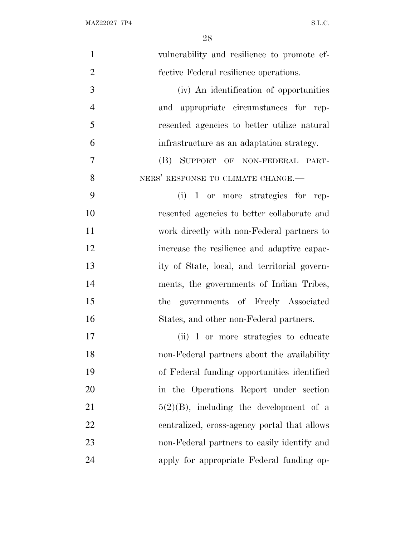| $\mathbf{1}$   | vulnerability and resilience to promote ef-  |
|----------------|----------------------------------------------|
| $\overline{2}$ | fective Federal resilience operations.       |
| 3              | (iv) An identification of opportunities      |
| $\overline{4}$ | and appropriate circumstances for rep-       |
| 5              | resented agencies to better utilize natural  |
| 6              | infrastructure as an adaptation strategy.    |
| 7              | (B) SUPPORT OF NON-FEDERAL PART-             |
| 8              | NERS' RESPONSE TO CLIMATE CHANGE.-           |
| 9              | $(i)$ 1 or more strategies for rep-          |
| 10             | resented agencies to better collaborate and  |
| 11             | work directly with non-Federal partners to   |
| 12             | increase the resilience and adaptive capac-  |
| 13             | ity of State, local, and territorial govern- |
| 14             | ments, the governments of Indian Tribes,     |
| 15             | the governments of Freely Associated         |
| 16             | States, and other non-Federal partners.      |
| 17             | (ii) 1 or more strategies to educate         |
| 18             | non-Federal partners about the availability  |
| 19             | of Federal funding opportunities identified  |
| 20             | in the Operations Report under section       |
| 21             | $5(2)(B)$ , including the development of a   |
| 22             | centralized, cross-agency portal that allows |
| 23             | non-Federal partners to easily identify and  |
| 24             | apply for appropriate Federal funding op-    |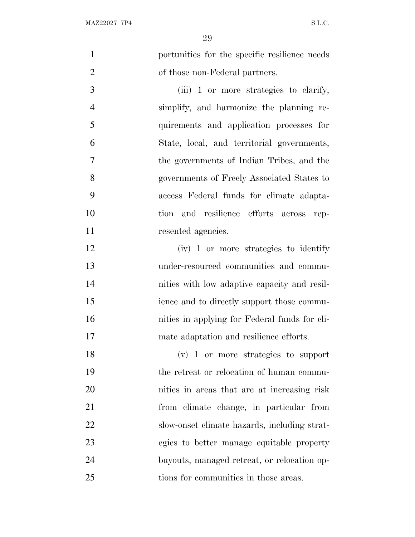portunities for the specific resilience needs 2 of those non-Federal partners. (iii) 1 or more strategies to clarify, simplify, and harmonize the planning re-

 quirements and application processes for State, local, and territorial governments, the governments of Indian Tribes, and the governments of Freely Associated States to access Federal funds for climate adapta- tion and resilience efforts across rep-11 resented agencies.

 (iv) 1 or more strategies to identify under-resourced communities and commu- nities with low adaptive capacity and resil- ience and to directly support those commu- nities in applying for Federal funds for cli-mate adaptation and resilience efforts.

 (v) 1 or more strategies to support the retreat or relocation of human commu- nities in areas that are at increasing risk from climate change, in particular from slow-onset climate hazards, including strat- egies to better manage equitable property buyouts, managed retreat, or relocation op-tions for communities in those areas.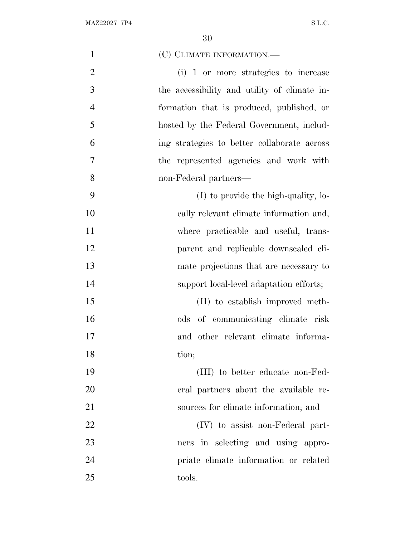| $\mathbf{1}$   | (C) CLIMATE INFORMATION.—                    |
|----------------|----------------------------------------------|
| $\overline{2}$ | (i) 1 or more strategies to increase         |
| 3              | the accessibility and utility of climate in- |
| $\overline{4}$ | formation that is produced, published, or    |
| 5              | hosted by the Federal Government, includ-    |
| 6              | ing strategies to better collaborate across  |
| $\overline{7}$ | the represented agencies and work with       |
| 8              | non-Federal partners—                        |
| 9              | (I) to provide the high-quality, lo-         |
| 10             | cally relevant climate information and,      |
| 11             | where practicable and useful, trans-         |
| 12             | parent and replicable downscaled cli-        |
| 13             | mate projections that are necessary to       |
| 14             | support local-level adaptation efforts;      |
| 15             | (II) to establish improved meth-             |
| 16             | ods of communicating climate risk            |
| 17             | and other relevant climate informa-          |
| 18             | tion;                                        |
| 19             | (III) to better educate non-Fed-             |
| 20             | eral partners about the available re-        |
| 21             | sources for climate information; and         |
| 22             | (IV) to assist non-Federal part-             |
| 23             | ners in selecting and using appro-           |
| 24             | priate climate information or related        |
| 25             | tools.                                       |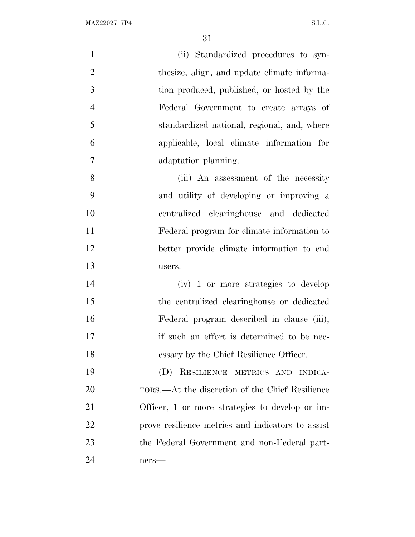| $\mathbf{1}$   | (ii) Standardized procedures to syn-              |
|----------------|---------------------------------------------------|
| $\overline{2}$ | the size, align, and update climate informa-      |
| 3              | tion produced, published, or hosted by the        |
| $\overline{4}$ | Federal Government to create arrays of            |
| 5              | standardized national, regional, and, where       |
| 6              | applicable, local climate information for         |
| $\overline{7}$ | adaptation planning.                              |
| 8              | (iii) An assessment of the necessity              |
| 9              | and utility of developing or improving a          |
| 10             | centralized clearinghouse and dedicated           |
| 11             | Federal program for climate information to        |
| 12             | better provide climate information to end         |
| 13             | users.                                            |
| 14             | (iv) 1 or more strategies to develop              |
| 15             | the centralized clearinghouse or dedicated        |
| 16             | Federal program described in clause (iii),        |
| 17             | if such an effort is determined to be nec-        |
| 18             | essary by the Chief Resilience Officer.           |
| 19             | (D) RESILIENCE METRICS AND INDICA-                |
| 20             | TORS.—At the discretion of the Chief Resilience   |
| 21             | Officer, 1 or more strategies to develop or im-   |
| 22             | prove resilience metrics and indicators to assist |
| 23             | the Federal Government and non-Federal part-      |
| 24             | ners-                                             |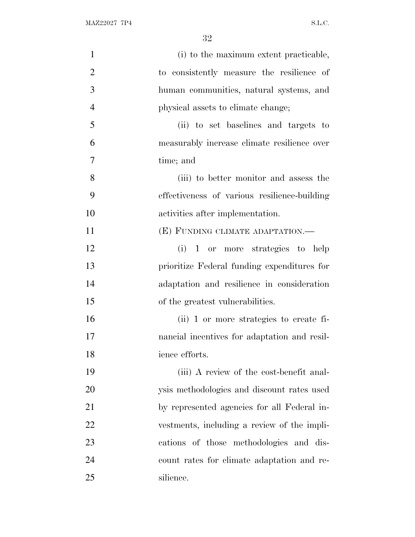| $\mathbf{1}$   | (i) to the maximum extent practicable,       |
|----------------|----------------------------------------------|
| $\overline{2}$ | to consistently measure the resilience of    |
| 3              | human communities, natural systems, and      |
| $\overline{4}$ | physical assets to climate change;           |
| 5              | (ii) to set baselines and targets to         |
| 6              | measurably increase climate resilience over  |
| $\overline{7}$ | time; and                                    |
| 8              | (iii) to better monitor and assess the       |
| 9              | effectiveness of various resilience-building |
| 10             | activities after implementation.             |
| 11             | (E) FUNDING CLIMATE ADAPTATION.-             |
| 12             | (i) 1 or more strategies to help             |
| 13             | prioritize Federal funding expenditures for  |
| 14             | adaptation and resilience in consideration   |
| 15             | of the greatest vulnerabilities.             |
| 16             | (ii) 1 or more strategies to create fi-      |
| 17             | nancial incentives for adaptation and resil- |
| 18             | ience efforts.                               |
| 19             | (iii) A review of the cost-benefit anal-     |
| 20             | ysis methodologies and discount rates used   |
| 21             | by represented agencies for all Federal in-  |
| 22             | vestments, including a review of the impli-  |
| 23             | cations of those methodologies and dis-      |
| 24             | count rates for climate adaptation and re-   |
| 25             | silience.                                    |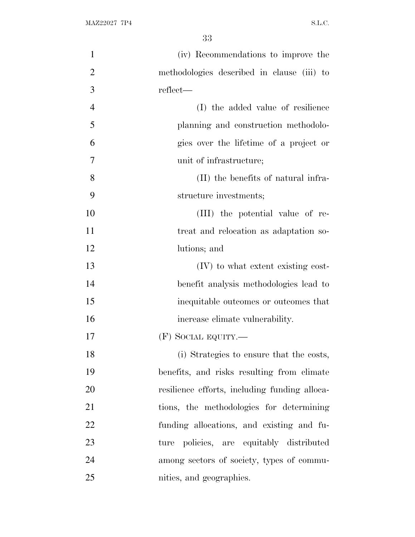| $\mathbf{1}$   | (iv) Recommendations to improve the           |
|----------------|-----------------------------------------------|
| $\overline{2}$ | methodologies described in clause (iii) to    |
| 3              | reflect—                                      |
| $\overline{4}$ | (I) the added value of resilience             |
| 5              | planning and construction methodolo-          |
| 6              | gies over the lifetime of a project or        |
| $\tau$         | unit of infrastructure;                       |
| 8              | (II) the benefits of natural infra-           |
| 9              | structure investments;                        |
| 10             | (III) the potential value of re-              |
| 11             | treat and relocation as adaptation so-        |
| 12             | lutions; and                                  |
| 13             | (IV) to what extent existing cost-            |
| 14             | benefit analysis methodologies lead to        |
| 15             | inequitable outcomes or outcomes that         |
| 16             | increase climate vulnerability.               |
| 17             | $(F)$ SOCIAL EQUITY.—                         |
| 18             | (i) Strategies to ensure that the costs,      |
| 19             | benefits, and risks resulting from climate    |
| 20             | resilience efforts, including funding alloca- |
| 21             | tions, the methodologies for determining      |
| 22             | funding allocations, and existing and fu-     |
| 23             | policies, are equitably distributed<br>ture   |
| 24             | among sectors of society, types of commu-     |
| 25             | nities, and geographies.                      |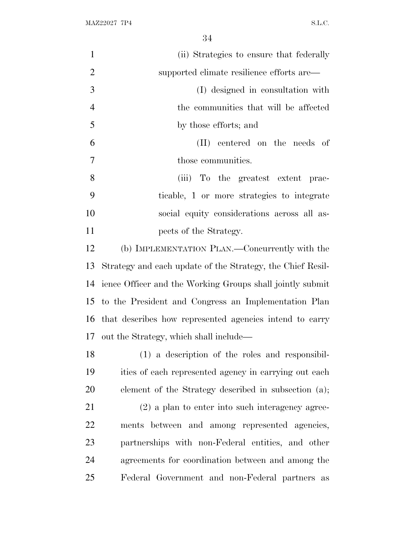| $\mathbf{1}$   | (ii) Strategies to ensure that federally                   |
|----------------|------------------------------------------------------------|
| $\overline{2}$ | supported climate resilience efforts are—                  |
| 3              | (I) designed in consultation with                          |
| $\overline{4}$ | the communities that will be affected                      |
| 5              | by those efforts; and                                      |
| 6              | (II) centered on the needs of                              |
| 7              | those communities.                                         |
| 8              | (iii) To the greatest extent prac-                         |
| 9              | ticable, 1 or more strategies to integrate                 |
| 10             | social equity considerations across all as-                |
| 11             | pects of the Strategy.                                     |
| 12             | (b) IMPLEMENTATION PLAN.—Concurrently with the             |
| 13             | Strategy and each update of the Strategy, the Chief Resil- |
| 14             | ience Officer and the Working Groups shall jointly submit  |
| 15             | to the President and Congress an Implementation Plan       |
|                | 16 that describes how represented agencies intend to carry |
|                | 17 out the Strategy, which shall include—                  |
| 18             | (1) a description of the roles and responsibil-            |
| 19             | ities of each represented agency in carrying out each      |
| 20             | element of the Strategy described in subsection (a);       |
| 21             | $(2)$ a plan to enter into such interagency agree-         |
| 22             | ments between and among represented agencies,              |
| 23             | partnerships with non-Federal entities, and other          |
| 24             | agreements for coordination between and among the          |
| 25             | Federal Government and non-Federal partners as             |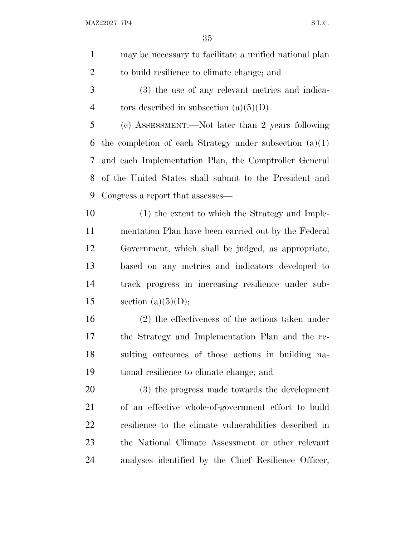| $\mathbf{1}$   | may be necessary to facilitate a unified national plan    |
|----------------|-----------------------------------------------------------|
| $\overline{2}$ | to build resilience to climate change; and                |
| 3              | (3) the use of any relevant metrics and indica-           |
| $\overline{4}$ | tors described in subsection $(a)(5)(D)$ .                |
| 5              | (c) ASSESSMENT.—Not later than 2 years following          |
| 6              | the completion of each Strategy under subsection $(a)(1)$ |
| 7              | and each Implementation Plan, the Comptroller General     |
| 8              | of the United States shall submit to the President and    |
| 9              | Congress a report that assesses—                          |
| 10             | (1) the extent to which the Strategy and Imple-           |
| 11             | mentation Plan have been carried out by the Federal       |
| 12             | Government, which shall be judged, as appropriate,        |
| 13             | based on any metrics and indicators developed to          |
| 14             | track progress in increasing resilience under sub-        |
| 15             | section $(a)(5)(D);$                                      |
| 16             | $(2)$ the effectiveness of the actions taken under        |
| 17             | the Strategy and Implementation Plan and the re-          |
| 18             | sulting outcomes of those actions in building na-         |
| 19             | tional resilience to climate change; and                  |
| 20             | (3) the progress made towards the development             |
| 21             | of an effective whole-of-government effort to build       |
| 22             | resilience to the climate vulnerabilities described in    |
| 23             | the National Climate Assessment or other relevant         |
| 24             | analyses identified by the Chief Resilience Officer,      |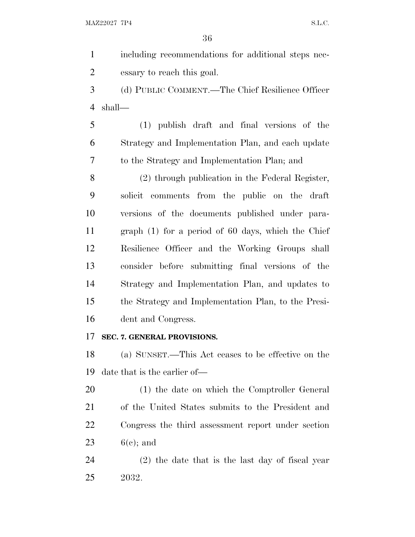including recommendations for additional steps nec- essary to reach this goal. (d) PUBLIC COMMENT.—The Chief Resilience Officer shall— (1) publish draft and final versions of the Strategy and Implementation Plan, and each update to the Strategy and Implementation Plan; and (2) through publication in the Federal Register, solicit comments from the public on the draft versions of the documents published under para- graph (1) for a period of 60 days, which the Chief Resilience Officer and the Working Groups shall consider before submitting final versions of the Strategy and Implementation Plan, and updates to the Strategy and Implementation Plan, to the Presi- dent and Congress. **SEC. 7. GENERAL PROVISIONS.** (a) SUNSET.—This Act ceases to be effective on the date that is the earlier of— (1) the date on which the Comptroller General of the United States submits to the President and Congress the third assessment report under section  $6(e)$ ; and

 (2) the date that is the last day of fiscal year 2032.